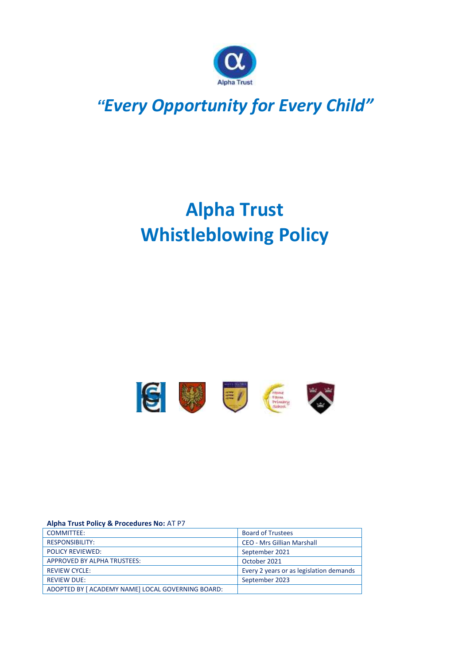

## *"Every Opportunity for Every Child"*

# **Alpha Trust Whistleblowing Policy**



#### **Alpha Trust Policy & Procedures No:** AT P7

| COMMITTEE:                                        | <b>Board of Trustees</b>                |
|---------------------------------------------------|-----------------------------------------|
| <b>RESPONSIBILITY:</b>                            | <b>CEO - Mrs Gillian Marshall</b>       |
| <b>POLICY REVIEWED:</b>                           | September 2021                          |
| APPROVED BY ALPHA TRUSTEES:                       | October 2021                            |
| <b>REVIEW CYCLE:</b>                              | Every 2 years or as legislation demands |
| <b>REVIEW DUE:</b>                                | September 2023                          |
| ADOPTED BY [ ACADEMY NAME] LOCAL GOVERNING BOARD: |                                         |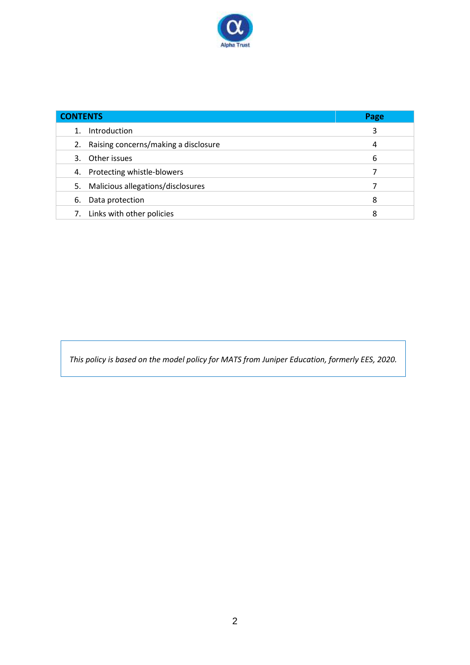

| <b>CONTENTS</b>                            | Page |
|--------------------------------------------|------|
| Introduction                               | 3    |
| Raising concerns/making a disclosure<br>2. | 4    |
| 3. Other issues                            | 6    |
| 4. Protecting whistle-blowers              |      |
| Malicious allegations/disclosures<br>5.    |      |
| Data protection<br>6.                      | 8    |
| 7. Links with other policies               | 8    |

*This policy is based on the model policy for MATS from Juniper Education, formerly EES, 2020.*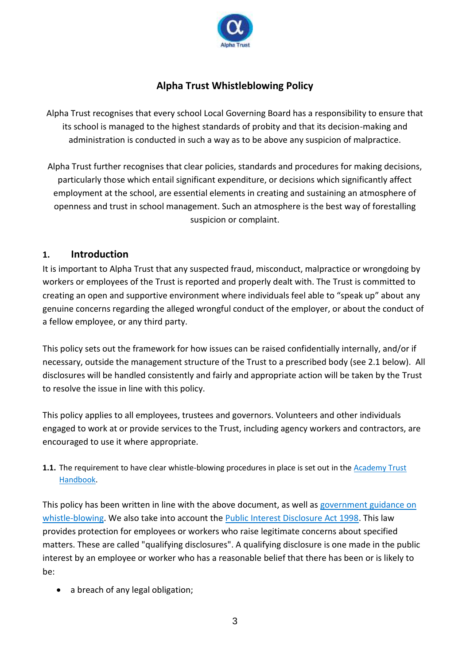

## **Alpha Trust Whistleblowing Policy**

Alpha Trust recognises that every school Local Governing Board has a responsibility to ensure that its school is managed to the highest standards of probity and that its decision-making and administration is conducted in such a way as to be above any suspicion of malpractice.

Alpha Trust further recognises that clear policies, standards and procedures for making decisions, particularly those which entail significant expenditure, or decisions which significantly affect employment at the school, are essential elements in creating and sustaining an atmosphere of openness and trust in school management. Such an atmosphere is the best way of forestalling suspicion or complaint.

#### **1. Introduction**

It is important to Alpha Trust that any suspected fraud, misconduct, malpractice or wrongdoing by workers or employees of the Trust is reported and properly dealt with. The Trust is committed to creating an open and supportive environment where individuals feel able to "speak up" about any genuine concerns regarding the alleged wrongful conduct of the employer, or about the conduct of a fellow employee, or any third party.

This policy sets out the framework for how issues can be raised confidentially internally, and/or if necessary, outside the management structure of the Trust to a prescribed body (see 2.1 below). All disclosures will be handled consistently and fairly and appropriate action will be taken by the Trust to resolve the issue in line with this policy.

This policy applies to all employees, trustees and governors. Volunteers and other individuals engaged to work at or provide services to the Trust, including agency workers and contractors, are encouraged to use it where appropriate.

**1.1.** The requirement to have clear whistle-blowing procedures in place is set out in the **Academy Trust** [Handbook.](https://www.gov.uk/guidance/academies-financial-handbook/academy-trust-handbook-2021)

This policy has been written in line with the above document, as well as government guidance on [whistle-blowing.](https://www.gov.uk/whistleblowing) We also take into account the [Public Interest Disclosure Act 1998.](https://www.legislation.gov.uk/ukpga/1998/23/contents) This law provides protection for employees or workers who raise legitimate concerns about specified matters. These are called "qualifying disclosures". A qualifying disclosure is one made in the public interest by an employee or worker who has a reasonable belief that there has been or is likely to be:

• a breach of any legal obligation;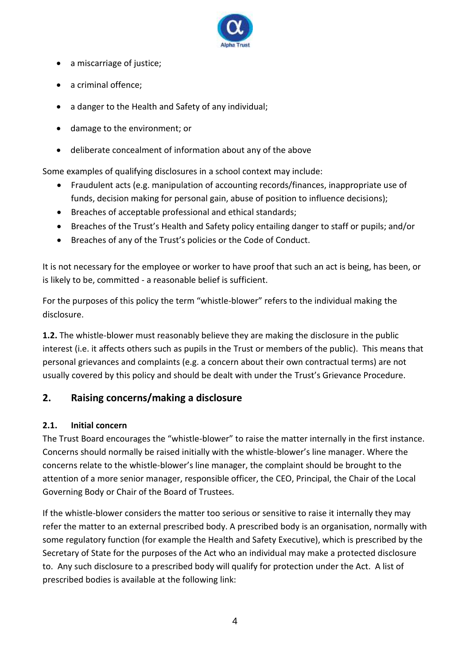

- a miscarriage of justice;
- a criminal offence;
- a danger to the Health and Safety of any individual;
- damage to the environment; or
- deliberate concealment of information about any of the above

Some examples of qualifying disclosures in a school context may include:

- Fraudulent acts (e.g. manipulation of accounting records/finances, inappropriate use of funds, decision making for personal gain, abuse of position to influence decisions);
- Breaches of acceptable professional and ethical standards;
- Breaches of the Trust's Health and Safety policy entailing danger to staff or pupils; and/or
- Breaches of any of the Trust's policies or the Code of Conduct.

It is not necessary for the employee or worker to have proof that such an act is being, has been, or is likely to be, committed - a reasonable belief is sufficient.

For the purposes of this policy the term "whistle-blower" refers to the individual making the disclosure.

**1.2.** The whistle-blower must reasonably believe they are making the disclosure in the public interest (i.e. it affects others such as pupils in the Trust or members of the public). This means that personal grievances and complaints (e.g. a concern about their own contractual terms) are not usually covered by this policy and should be dealt with under the Trust's Grievance Procedure.

## **2. Raising concerns/making a disclosure**

#### **2.1. Initial concern**

The Trust Board encourages the "whistle-blower" to raise the matter internally in the first instance. Concerns should normally be raised initially with the whistle-blower's line manager. Where the concerns relate to the whistle-blower's line manager, the complaint should be brought to the attention of a more senior manager, responsible officer, the CEO, Principal, the Chair of the Local Governing Body or Chair of the Board of Trustees.

If the whistle-blower considers the matter too serious or sensitive to raise it internally they may refer the matter to an external prescribed body. A prescribed body is an organisation, normally with some regulatory function (for example the Health and Safety Executive), which is prescribed by the Secretary of State for the purposes of the Act who an individual may make a protected disclosure to. Any such disclosure to a prescribed body will qualify for protection under the Act. A list of prescribed bodies is available at the following link: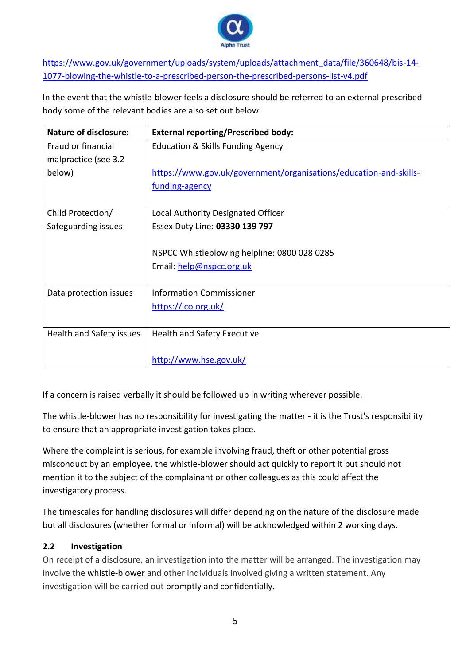

[https://www.gov.uk/government/uploads/system/uploads/attachment\\_data/file/360648/bis-14-](https://www.gov.uk/government/uploads/system/uploads/attachment_data/file/360648/bis-14-1077-blowing-the-whistle-to-a-prescribed-person-the-prescribed-persons-list-v4.pdf) [1077-blowing-the-whistle-to-a-prescribed-person-the-prescribed-persons-list-v4.pdf](https://www.gov.uk/government/uploads/system/uploads/attachment_data/file/360648/bis-14-1077-blowing-the-whistle-to-a-prescribed-person-the-prescribed-persons-list-v4.pdf)

In the event that the whistle-blower feels a disclosure should be referred to an external prescribed body some of the relevant bodies are also set out below:

| <b>Nature of disclosure:</b> | <b>External reporting/Prescribed body:</b>                        |
|------------------------------|-------------------------------------------------------------------|
| Fraud or financial           | <b>Education &amp; Skills Funding Agency</b>                      |
| malpractice (see 3.2         |                                                                   |
| below)                       | https://www.gov.uk/government/organisations/education-and-skills- |
|                              | funding-agency                                                    |
|                              |                                                                   |
| Child Protection/            | Local Authority Designated Officer                                |
| Safeguarding issues          | Essex Duty Line: 03330 139 797                                    |
|                              |                                                                   |
|                              | NSPCC Whistleblowing helpline: 0800 028 0285                      |
|                              | Email: help@nspcc.org.uk                                          |
|                              |                                                                   |
| Data protection issues       | <b>Information Commissioner</b>                                   |
|                              | https://ico.org.uk/                                               |
|                              |                                                                   |
| Health and Safety issues     | <b>Health and Safety Executive</b>                                |
|                              |                                                                   |
|                              | http://www.hse.gov.uk/                                            |

If a concern is raised verbally it should be followed up in writing wherever possible.

The whistle-blower has no responsibility for investigating the matter - it is the Trust's responsibility to ensure that an appropriate investigation takes place.

Where the complaint is serious, for example involving fraud, theft or other potential gross misconduct by an employee, the whistle-blower should act quickly to report it but should not mention it to the subject of the complainant or other colleagues as this could affect the investigatory process.

The timescales for handling disclosures will differ depending on the nature of the disclosure made but all disclosures (whether formal or informal) will be acknowledged within 2 working days.

#### **2.2 Investigation**

On receipt of a disclosure, an investigation into the matter will be arranged. The investigation may involve the whistle-blower and other individuals involved giving a written statement. Any investigation will be carried out promptly and confidentially.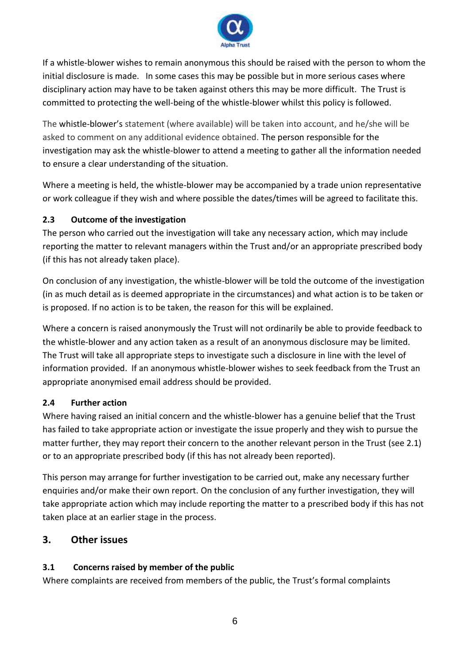

If a whistle-blower wishes to remain anonymous this should be raised with the person to whom the initial disclosure is made. In some cases this may be possible but in more serious cases where disciplinary action may have to be taken against others this may be more difficult. The Trust is committed to protecting the well-being of the whistle-blower whilst this policy is followed.

The whistle-blower's statement (where available) will be taken into account, and he/she will be asked to comment on any additional evidence obtained. The person responsible for the investigation may ask the whistle-blower to attend a meeting to gather all the information needed to ensure a clear understanding of the situation.

Where a meeting is held, the whistle-blower may be accompanied by a trade union representative or work colleague if they wish and where possible the dates/times will be agreed to facilitate this.

#### **2.3 Outcome of the investigation**

The person who carried out the investigation will take any necessary action, which may include reporting the matter to relevant managers within the Trust and/or an appropriate prescribed body (if this has not already taken place).

On conclusion of any investigation, the whistle-blower will be told the outcome of the investigation (in as much detail as is deemed appropriate in the circumstances) and what action is to be taken or is proposed. If no action is to be taken, the reason for this will be explained.

Where a concern is raised anonymously the Trust will not ordinarily be able to provide feedback to the whistle-blower and any action taken as a result of an anonymous disclosure may be limited. The Trust will take all appropriate steps to investigate such a disclosure in line with the level of information provided. If an anonymous whistle-blower wishes to seek feedback from the Trust an appropriate anonymised email address should be provided.

#### **2.4 Further action**

Where having raised an initial concern and the whistle-blower has a genuine belief that the Trust has failed to take appropriate action or investigate the issue properly and they wish to pursue the matter further, they may report their concern to the another relevant person in the Trust (see 2.1) or to an appropriate prescribed body (if this has not already been reported).

This person may arrange for further investigation to be carried out, make any necessary further enquiries and/or make their own report. On the conclusion of any further investigation, they will take appropriate action which may include reporting the matter to a prescribed body if this has not taken place at an earlier stage in the process.

#### **3. Other issues**

#### **3.1 Concerns raised by member of the public**

Where complaints are received from members of the public, the Trust's formal complaints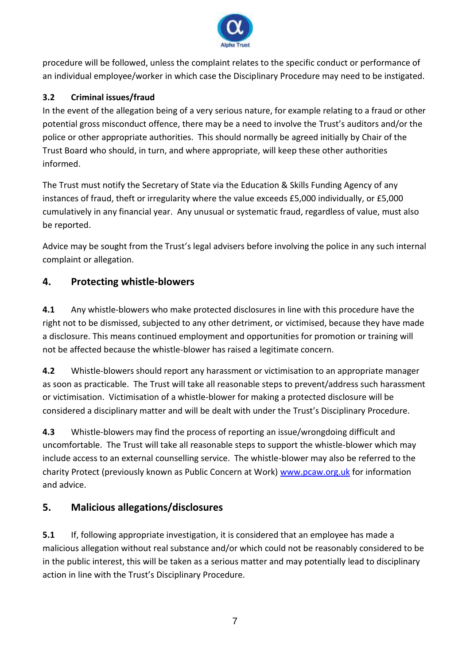

procedure will be followed, unless the complaint relates to the specific conduct or performance of an individual employee/worker in which case the Disciplinary Procedure may need to be instigated.

### **3.2 Criminal issues/fraud**

In the event of the allegation being of a very serious nature, for example relating to a fraud or other potential gross misconduct offence, there may be a need to involve the Trust's auditors and/or the police or other appropriate authorities. This should normally be agreed initially by Chair of the Trust Board who should, in turn, and where appropriate, will keep these other authorities informed.

The Trust must notify the Secretary of State via the Education & Skills Funding Agency of any instances of fraud, theft or irregularity where the value exceeds £5,000 individually, or £5,000 cumulatively in any financial year. Any unusual or systematic fraud, regardless of value, must also be reported.

Advice may be sought from the Trust's legal advisers before involving the police in any such internal complaint or allegation.

## **4. Protecting whistle-blowers**

**4.1** Any whistle-blowers who make protected disclosures in line with this procedure have the right not to be dismissed, subjected to any other detriment, or victimised, because they have made a disclosure. This means continued employment and opportunities for promotion or training will not be affected because the whistle-blower has raised a legitimate concern.

**4.2** Whistle-blowers should report any harassment or victimisation to an appropriate manager as soon as practicable. The Trust will take all reasonable steps to prevent/address such harassment or victimisation. Victimisation of a whistle-blower for making a protected disclosure will be considered a disciplinary matter and will be dealt with under the Trust's Disciplinary Procedure.

**4.3** Whistle-blowers may find the process of reporting an issue/wrongdoing difficult and uncomfortable. The Trust will take all reasonable steps to support the whistle-blower which may include access to an external counselling service. The whistle-blower may also be referred to the charity Protect (previously known as Public Concern at Work) [www.pcaw.org.uk](http://www.pcaw.org.uk/) for information and advice.

## **5. Malicious allegations/disclosures**

**5.1** If, following appropriate investigation, it is considered that an employee has made a malicious allegation without real substance and/or which could not be reasonably considered to be in the public interest, this will be taken as a serious matter and may potentially lead to disciplinary action in line with the Trust's Disciplinary Procedure.